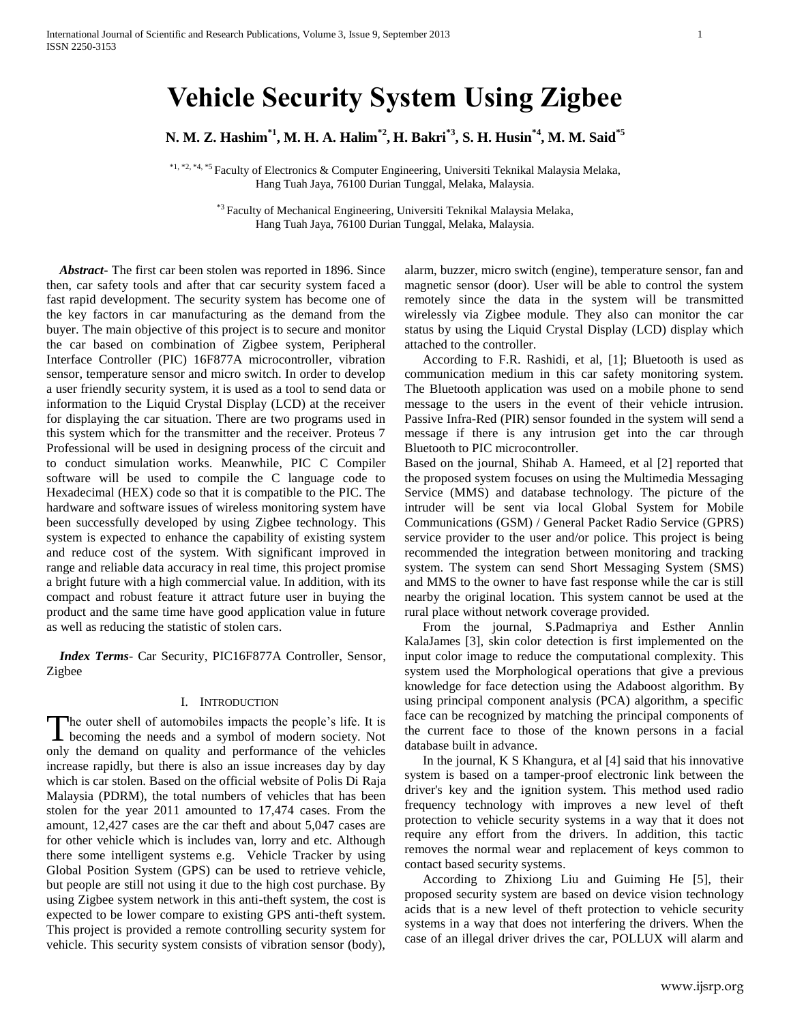# **Vehicle Security System Using Zigbee**

**N. M. Z. Hashim\*1 , M. H. A. Halim\*2 , H. Bakri\*3 , S. H. Husin\*4 , M. M. Said\*5**

\*1, \*2, \*4, \*5 Faculty of Electronics & Computer Engineering, Universiti Teknikal Malaysia Melaka, Hang Tuah Jaya, 76100 Durian Tunggal, Melaka, Malaysia.

> \*<sup>3</sup> Faculty of Mechanical Engineering, Universiti Teknikal Malaysia Melaka, Hang Tuah Jaya, 76100 Durian Tunggal, Melaka, Malaysia.

 *Abstract***-** The first car been stolen was reported in 1896. Since then, car safety tools and after that car security system faced a fast rapid development. The security system has become one of the key factors in car manufacturing as the demand from the buyer. The main objective of this project is to secure and monitor the car based on combination of Zigbee system, Peripheral Interface Controller (PIC) 16F877A microcontroller, vibration sensor, temperature sensor and micro switch. In order to develop a user friendly security system, it is used as a tool to send data or information to the Liquid Crystal Display (LCD) at the receiver for displaying the car situation. There are two programs used in this system which for the transmitter and the receiver. Proteus 7 Professional will be used in designing process of the circuit and to conduct simulation works. Meanwhile, PIC C Compiler software will be used to compile the C language code to Hexadecimal (HEX) code so that it is compatible to the PIC. The hardware and software issues of wireless monitoring system have been successfully developed by using Zigbee technology. This system is expected to enhance the capability of existing system and reduce cost of the system. With significant improved in range and reliable data accuracy in real time, this project promise a bright future with a high commercial value. In addition, with its compact and robust feature it attract future user in buying the product and the same time have good application value in future as well as reducing the statistic of stolen cars.

 *Index Terms*- Car Security, PIC16F877A Controller, Sensor, Zigbee

#### I. INTRODUCTION

he outer shell of automobiles impacts the people's life. It is The outer shell of automobiles impacts the people's life. It is becoming the needs and a symbol of modern society. Not only the demand on quality and performance of the vehicles increase rapidly, but there is also an issue increases day by day which is car stolen. Based on the official website of Polis Di Raja Malaysia (PDRM), the total numbers of vehicles that has been stolen for the year 2011 amounted to 17,474 cases. From the amount, 12,427 cases are the car theft and about 5,047 cases are for other vehicle which is includes van, lorry and etc. Although there some intelligent systems e.g. Vehicle Tracker by using Global Position System (GPS) can be used to retrieve vehicle, but people are still not using it due to the high cost purchase. By using Zigbee system network in this anti-theft system, the cost is expected to be lower compare to existing GPS anti-theft system. This project is provided a remote controlling security system for vehicle. This security system consists of vibration sensor (body),

alarm, buzzer, micro switch (engine), temperature sensor, fan and magnetic sensor (door). User will be able to control the system remotely since the data in the system will be transmitted wirelessly via Zigbee module. They also can monitor the car status by using the Liquid Crystal Display (LCD) display which attached to the controller.

According to F.R. Rashidi, et al, [1]; Bluetooth is used as communication medium in this car safety monitoring system. The Bluetooth application was used on a mobile phone to send message to the users in the event of their vehicle intrusion. Passive Infra-Red (PIR) sensor founded in the system will send a message if there is any intrusion get into the car through Bluetooth to PIC microcontroller.

Based on the journal, Shihab A. Hameed, et al [2] reported that the proposed system focuses on using the Multimedia Messaging Service (MMS) and database technology. The picture of the intruder will be sent via local Global System for Mobile Communications (GSM) / General Packet Radio Service (GPRS) service provider to the user and/or police. This project is being recommended the integration between monitoring and tracking system. The system can send Short Messaging System (SMS) and MMS to the owner to have fast response while the car is still nearby the original location. This system cannot be used at the rural place without network coverage provided.

From the journal, S.Padmapriya and Esther Annlin KalaJames [3], skin color detection is first implemented on the input color image to reduce the computational complexity. This system used the Morphological operations that give a previous knowledge for face detection using the Adaboost algorithm. By using principal component analysis (PCA) algorithm, a specific face can be recognized by matching the principal components of the current face to those of the known persons in a facial database built in advance.

In the journal, K S Khangura, et al [4] said that his innovative system is based on a tamper-proof electronic link between the driver's key and the ignition system. This method used radio frequency technology with improves a new level of theft protection to vehicle security systems in a way that it does not require any effort from the drivers. In addition, this tactic removes the normal wear and replacement of keys common to contact based security systems.

According to Zhixiong Liu and Guiming He [5], their proposed security system are based on device vision technology acids that is a new level of theft protection to vehicle security systems in a way that does not interfering the drivers. When the case of an illegal driver drives the car, POLLUX will alarm and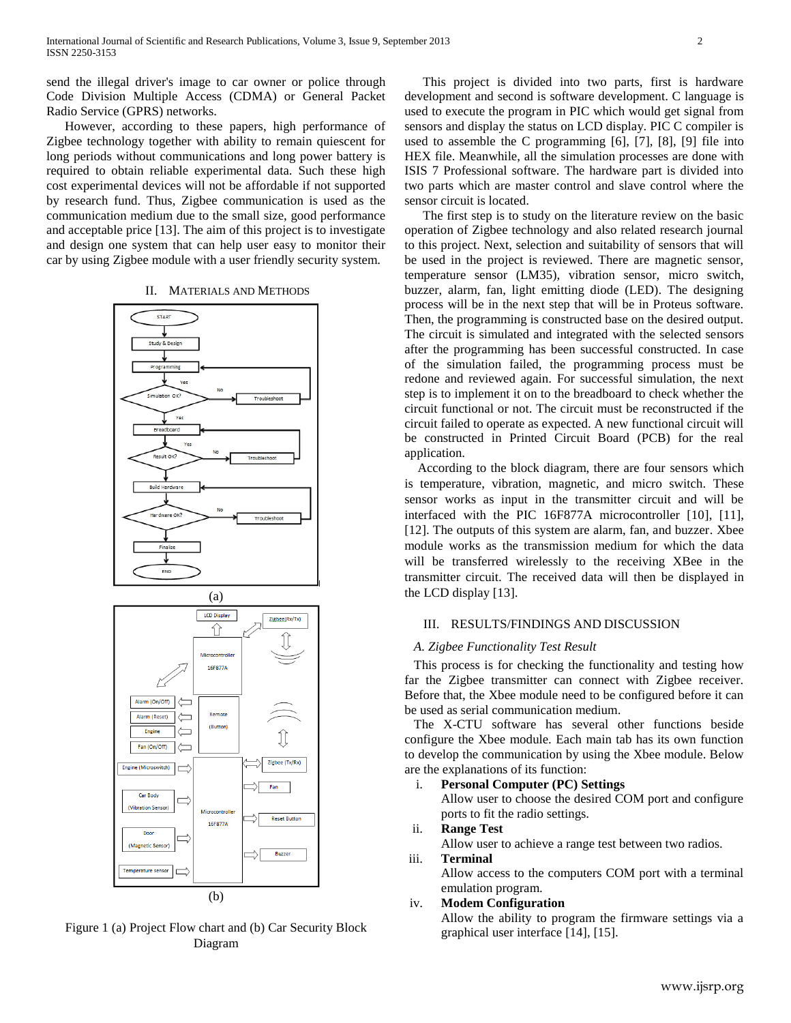send the illegal driver's image to car owner or police through Code Division Multiple Access (CDMA) or General Packet Radio Service (GPRS) networks.

However, according to these papers, high performance of Zigbee technology together with ability to remain quiescent for long periods without communications and long power battery is required to obtain reliable experimental data. Such these high cost experimental devices will not be affordable if not supported by research fund. Thus, Zigbee communication is used as the communication medium due to the small size, good performance and acceptable price [13]. The aim of this project is to investigate and design one system that can help user easy to monitor their car by using Zigbee module with a user friendly security system.

#### II. MATERIALS AND METHODS





Figure 1 (a) Project Flow chart and (b) Car Security Block Diagram

This project is divided into two parts, first is hardware development and second is software development. C language is used to execute the program in PIC which would get signal from sensors and display the status on LCD display. PIC C compiler is used to assemble the C programming [6], [7], [8], [9] file into HEX file. Meanwhile, all the simulation processes are done with ISIS 7 Professional software. The hardware part is divided into two parts which are master control and slave control where the sensor circuit is located.

The first step is to study on the literature review on the basic operation of Zigbee technology and also related research journal to this project. Next, selection and suitability of sensors that will be used in the project is reviewed. There are magnetic sensor, temperature sensor (LM35), vibration sensor, micro switch, buzzer, alarm, fan, light emitting diode (LED). The designing process will be in the next step that will be in Proteus software. Then, the programming is constructed base on the desired output. The circuit is simulated and integrated with the selected sensors after the programming has been successful constructed. In case of the simulation failed, the programming process must be redone and reviewed again. For successful simulation, the next step is to implement it on to the breadboard to check whether the circuit functional or not. The circuit must be reconstructed if the circuit failed to operate as expected. A new functional circuit will be constructed in Printed Circuit Board (PCB) for the real application.

According to the block diagram, there are four sensors which is temperature, vibration, magnetic, and micro switch. These sensor works as input in the transmitter circuit and will be interfaced with the PIC 16F877A microcontroller [10], [11], [12]. The outputs of this system are alarm, fan, and buzzer. Xbee module works as the transmission medium for which the data will be transferred wirelessly to the receiving XBee in the transmitter circuit. The received data will then be displayed in the LCD display [13].

## III. RESULTS/FINDINGS AND DISCUSSION

#### *A. Zigbee Functionality Test Result*

This process is for checking the functionality and testing how far the Zigbee transmitter can connect with Zigbee receiver. Before that, the Xbee module need to be configured before it can be used as serial communication medium.

The X-CTU software has several other functions beside configure the Xbee module. Each main tab has its own function to develop the communication by using the Xbee module. Below are the explanations of its function:

i. **Personal Computer (PC) Settings** Allow user to choose the desired COM port and configure ports to fit the radio settings.

## ii. **Range Test**

Allow user to achieve a range test between two radios.

### iii. **Terminal**

Allow access to the computers COM port with a terminal emulation program.

## iv. **Modem Configuration**

Allow the ability to program the firmware settings via a graphical user interface [14], [15].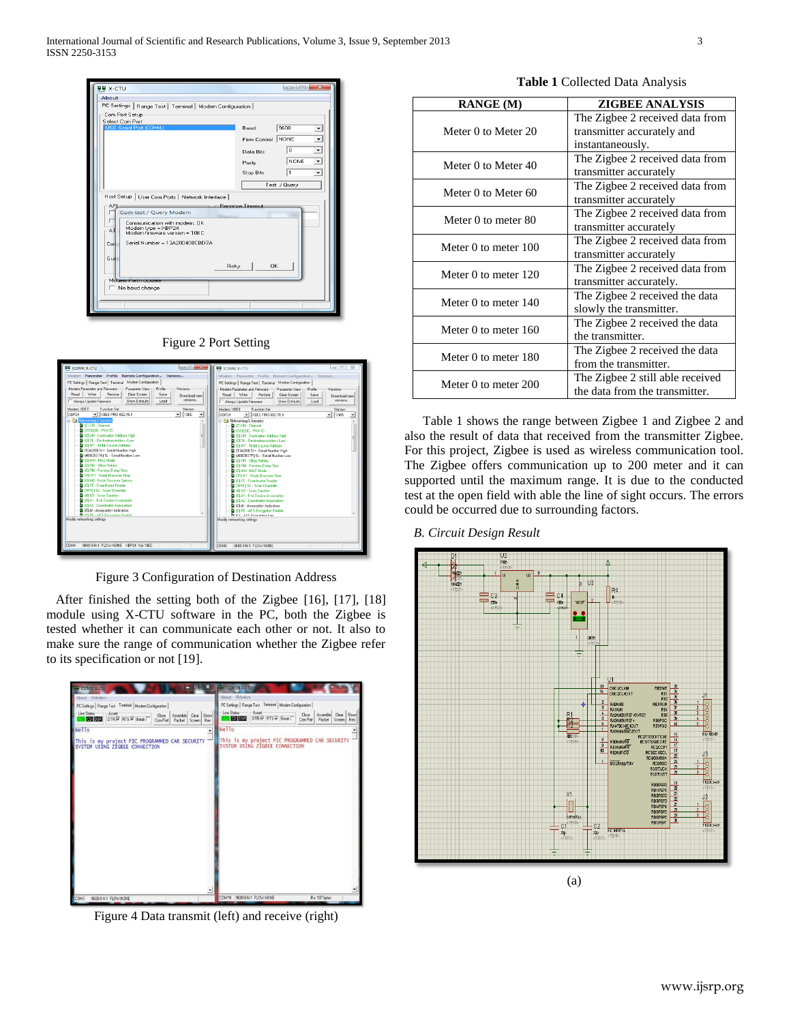

| Figure 2 Port Setting |  |  |
|-----------------------|--|--|
|                       |  |  |

| $\sim$ 100 $\sim$ $\sim$ $\sim$<br><b>BB</b> [COM4] X-CTU                    | $\Box$ $\Box$ $\Sigma$<br><b>BB</b> (COM6) X-CTU                             |  |
|------------------------------------------------------------------------------|------------------------------------------------------------------------------|--|
| Modern Parameter Profile Remote Configuration Versions                       | Modern Parameter Profile Remote Configuration Versions                       |  |
| PC Settings   Range Test   Terminal Modem Configuration                      | PC Settings   Range Test   Terminal Modern Configuration                     |  |
| Modem Parameter and Firmware<br>Parameter View<br>Merciono<br>Profile        | Modem Parameter and Firmware:<br>Parameter View -<br>$-$ Profile<br>Versions |  |
| Write<br><b>Clear Screen</b><br>Restore<br>Read<br>Save<br>Download new      | Writer<br>Restore<br><b>Clear Screen</b><br>Read<br>Save<br>Download new     |  |
| versions<br>Show Defaults<br>Load<br>Always Update Firmware                  | versions<br>Show Defaults<br>Load<br>Always Update Firmware                  |  |
| Modem: XREE<br><b>Function Set</b><br>Version                                | Modem: XBEE<br><b>Function Set</b><br>Version                                |  |
| $\overline{=}$ $\times$ REE PRO 802.15.4<br>$-100C$<br>XRP24                 | $\overline{\phantom{0}}$ XBEE PRO 802.15.4<br>1045<br>XBP24<br>$\cdot$       |  |
| <b>EX AN Networking &amp; Security</b><br><b>D</b> (C) CH - Channel          | El Cal Networking & Security<br><b>D</b> (C) CH - Channel                    |  |
| 4 (3332) ID - PAN ID                                                         | 2 (3332) ID - PAN ID                                                         |  |
| 101 DH - Destination Address High                                            | [C] (0) DH - Destination Address High                                        |  |
| 101 DL - Destination Address Low<br>[C] (0) MY - 16-bit Source Address       | 101 DL - Destination Address Low<br>101 MY - 16-bit Source Address           |  |
| 1342001 SH - Serial Number High                                              | [ (134200) SH - Serial Number High                                           |  |
| 1408CBD 7AI SL · Serial Number Low                                           | [408CBD 7F] SL - Serial Number Low                                           |  |
| <b>D</b> (0) MM - MAC Mode                                                   | 10 IOI RR - XBee Retries                                                     |  |
| 10 IOI RR - XBee Betries<br>10) RN - Random Delay Slots                      | 10 (0) RN - Random Delay Slots<br><b>D</b> (0) MM - MAC Mode                 |  |
| 19 (19) NT - Node Discover Time                                              | 19 (19) NT - Node Discover Time                                              |  |
| [C] (0) NO - Node Discover Options                                           | 101 CE - Coordinator Enable                                                  |  |
| 101 CE - Coordinator Enable                                                  | 1 (1FFE) SC - Scan Channels                                                  |  |
| 1 (1FFE) SC - Scan Channels<br>41 SD - Scan Duration                         | [4] SD - Scan Duration<br>101A1 - End Device Association                     |  |
| [3] (0) A1 - End Device Association                                          | 101A2 - Coordinator Association                                              |  |
| 101A2 - Coordinator Association                                              | [ (0) Al - Association Indication                                            |  |
| [ (0) Al - Association Indication<br><b>D</b> IMIEE, AFC Exposition Existing | 10 (0) EE - AES Encryption Enable<br><b>B</b> KV . AES Expanding Kerr        |  |
| Modify networking settings                                                   | Modify networking settings                                                   |  |
|                                                                              |                                                                              |  |
|                                                                              |                                                                              |  |
|                                                                              |                                                                              |  |
| 9600 8 N-1 FLOW: NONE XBP24 Ver. 10EC<br>COM4                                | <b>COM6</b><br>9600 BN-1 FLOW:NONE                                           |  |
|                                                                              |                                                                              |  |

Figure 3 Configuration of Destination Address

After finished the setting both of the Zigbee [16], [17], [18] module using X-CTU software in the PC, both the Zigbee is tested whether it can communicate each other or not. It also to make sure the range of communication whether the Zigbee refer to its specification or not [19].



Figure 4 Data transmit (left) and receive (right)

|  | Table 1 Collected Data Analysis |  |  |
|--|---------------------------------|--|--|
|--|---------------------------------|--|--|

| <b>RANGE</b> (M)     | <b>ZIGBEE ANALYSIS</b>           |
|----------------------|----------------------------------|
|                      | The Zigbee 2 received data from  |
| Meter 0 to Meter 20  | transmitter accurately and       |
|                      | instantaneously.                 |
| Meter 0 to Meter 40  | The Zigbee 2 received data from  |
|                      | transmitter accurately           |
| Meter 0 to Meter 60  | The Zigbee 2 received data from  |
|                      | transmitter accurately           |
| Meter 0 to meter 80  | The Zigbee 2 received data from  |
|                      | transmitter accurately           |
| Meter 0 to meter 100 | The Zigbee 2 received data from  |
|                      | transmitter accurately           |
| Meter 0 to meter 120 | The Zigbee 2 received data from  |
|                      | transmitter accurately.          |
| Meter 0 to meter 140 | The Zigbee 2 received the data   |
|                      | slowly the transmitter.          |
| Meter 0 to meter 160 | The Zigbee 2 received the data   |
|                      | the transmitter.                 |
| Meter 0 to meter 180 | The Zigbee 2 received the data   |
|                      | from the transmitter.            |
| Meter 0 to meter 200 | The Zigbee 2 still able received |
|                      | the data from the transmitter.   |

Table 1 shows the range between Zigbee 1 and Zigbee 2 and also the result of data that received from the transmitter Zigbee. For this project, Zigbee is used as wireless communication tool. The Zigbee offers communication up to 200 meter and it can supported until the maximum range. It is due to the conducted test at the open field with able the line of sight occurs. The errors could be occurred due to surrounding factors.

*B. Circuit Design Result*

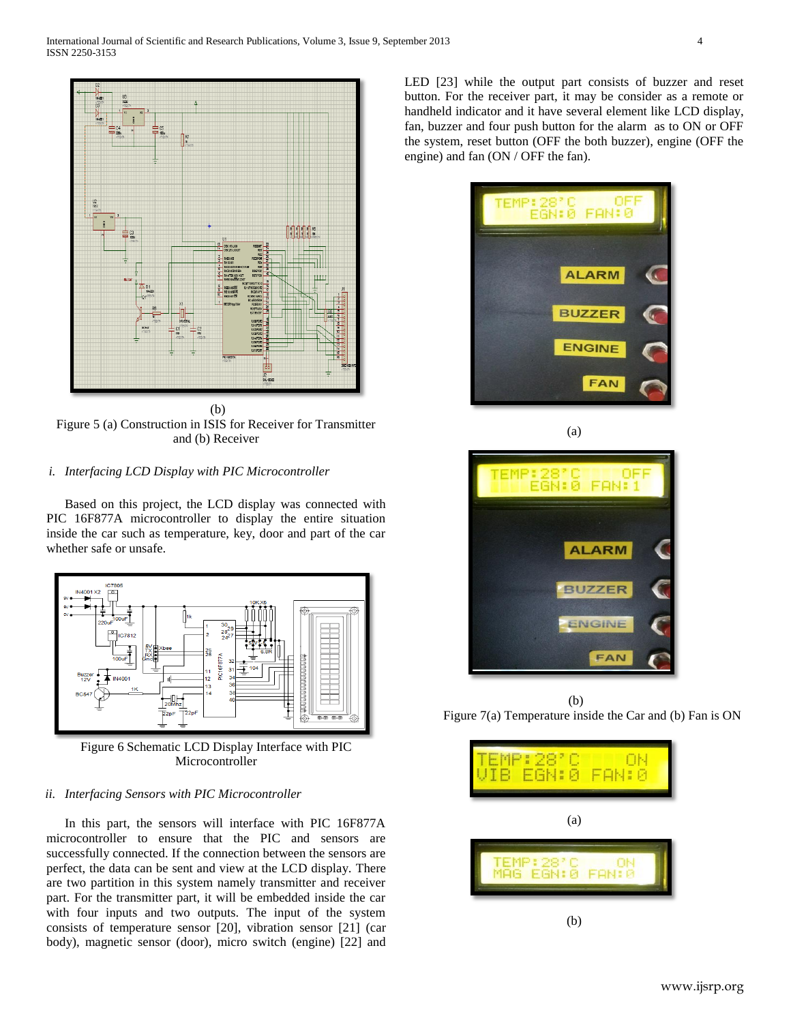

(b) Figure 5 (a) Construction in ISIS for Receiver for Transmitter and (b) Receiver

#### *i. Interfacing LCD Display with PIC Microcontroller*

Based on this project, the LCD display was connected with PIC 16F877A microcontroller to display the entire situation inside the car such as temperature, key, door and part of the car whether safe or unsafe.



Figure 6 Schematic LCD Display Interface with PIC Microcontroller

### *ii. Interfacing Sensors with PIC Microcontroller*

In this part, the sensors will interface with PIC 16F877A microcontroller to ensure that the PIC and sensors are successfully connected. If the connection between the sensors are perfect, the data can be sent and view at the LCD display. There are two partition in this system namely transmitter and receiver part. For the transmitter part, it will be embedded inside the car with four inputs and two outputs. The input of the system consists of temperature sensor [20], vibration sensor [21] (car body), magnetic sensor (door), micro switch (engine) [22] and

LED [23] while the output part consists of buzzer and reset button. For the receiver part, it may be consider as a remote or handheld indicator and it have several element like LCD display, fan, buzzer and four push button for the alarm as to ON or OFF the system, reset button (OFF the both buzzer), engine (OFF the engine) and fan (ON / OFF the fan).





(b) Figure 7(a) Temperature inside the Car and (b) Fan is ON

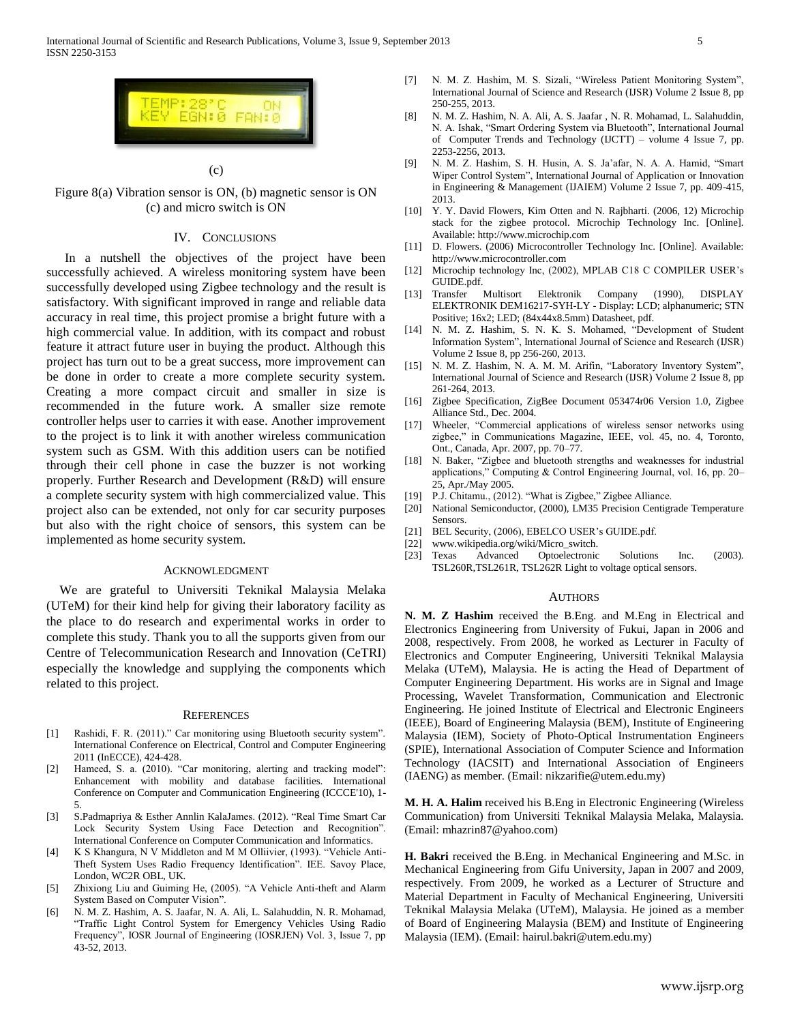

(c)

Figure 8(a) Vibration sensor is ON, (b) magnetic sensor is ON (c) and micro switch is ON

# IV. CONCLUSIONS

In a nutshell the objectives of the project have been successfully achieved. A wireless monitoring system have been successfully developed using Zigbee technology and the result is satisfactory. With significant improved in range and reliable data accuracy in real time, this project promise a bright future with a high commercial value. In addition, with its compact and robust feature it attract future user in buying the product. Although this project has turn out to be a great success, more improvement can be done in order to create a more complete security system. Creating a more compact circuit and smaller in size is recommended in the future work. A smaller size remote controller helps user to carries it with ease. Another improvement to the project is to link it with another wireless communication system such as GSM. With this addition users can be notified through their cell phone in case the buzzer is not working properly. Further Research and Development (R&D) will ensure a complete security system with high commercialized value. This project also can be extended, not only for car security purposes but also with the right choice of sensors, this system can be implemented as home security system.

## ACKNOWLEDGMENT

We are grateful to Universiti Teknikal Malaysia Melaka (UTeM) for their kind help for giving their laboratory facility as the place to do research and experimental works in order to complete this study. Thank you to all the supports given from our Centre of Telecommunication Research and Innovation (CeTRI) especially the knowledge and supplying the components which related to this project.

#### **REFERENCES**

- [1] Rashidi, F. R. (2011)." Car monitoring using Bluetooth security system". International Conference on Electrical, Control and Computer Engineering 2011 (InECCE), 424-428.
- [2] Hameed, S. a. (2010). "Car monitoring, alerting and tracking model": Enhancement with mobility and database facilities. International Conference on Computer and Communication Engineering (ICCCE'10), 1- 5.
- [3] S.Padmapriya & Esther Annlin KalaJames. (2012). "Real Time Smart Car Lock Security System Using Face Detection and Recognition". International Conference on Computer Communication and Informatics.
- [4] K S Khangura, N V Middleton and M M Olliivier, (1993). "Vehicle Anti-Theft System Uses Radio Frequency Identification". IEE. Savoy Place, London, WC2R OBL, UK.
- [5] Zhixiong Liu and Guiming He, (2005). "A Vehicle Anti-theft and Alarm System Based on Computer Vision".
- [6] N. M. Z. Hashim, A. S. Jaafar, N. A. Ali, L. Salahuddin, N. R. Mohamad, "Traffic Light Control System for Emergency Vehicles Using Radio Frequency", IOSR Journal of Engineering (IOSRJEN) Vol. 3, Issue 7, pp 43-52, 2013.
- [7] N. M. Z. Hashim, M. S. Sizali, "Wireless Patient Monitoring System", International Journal of Science and Research (IJSR) Volume 2 Issue 8, pp 250-255, 2013.
- [8] N. M. Z. Hashim, N. A. Ali, A. S. Jaafar , N. R. Mohamad, L. Salahuddin, N. A. Ishak, "Smart Ordering System via Bluetooth", International Journal of Computer Trends and Technology (IJCTT) – volume 4 Issue 7, pp. 2253-2256, 2013.
- [9] N. M. Z. Hashim, S. H. Husin, A. S. Ja'afar, N. A. A. Hamid, "Smart Wiper Control System", International Journal of Application or Innovation in Engineering & Management (IJAIEM) Volume 2 Issue 7, pp. 409-415, 2013.
- [10] Y. Y. David Flowers, Kim Otten and N. Rajbharti. (2006, 12) Microchip stack for the zigbee protocol. Microchip Technology Inc. [Online]. Available: http://www.microchip.com
- [11] D. Flowers. (2006) Microcontroller Technology Inc. [Online]. Available: http://www.microcontroller.com
- [12] Microchip technology Inc, (2002), MPLAB C18 C COMPILER USER's GUIDE.pdf.
- [13] Transfer Multisort Elektronik Company (1990), DISPLAY ELEKTRONIK DEM16217-SYH-LY - Display: LCD; alphanumeric; STN Positive; 16x2; LED; (84x44x8.5mm) Datasheet, pdf.
- [14] N. M. Z. Hashim, S. N. K. S. Mohamed, "Development of Student Information System", International Journal of Science and Research (IJSR) Volume 2 Issue 8, pp 256-260, 2013.
- [15] N. M. Z. Hashim, N. A. M. M. Arifin, "Laboratory Inventory System", International Journal of Science and Research (IJSR) Volume 2 Issue 8, pp 261-264, 2013.
- [16] Zigbee Specification, ZigBee Document 053474r06 Version 1.0, Zigbee Alliance Std., Dec. 2004.
- [17] Wheeler, "Commercial applications of wireless sensor networks using zigbee," in Communications Magazine, IEEE, vol. 45, no. 4, Toronto, Ont., Canada, Apr. 2007, pp. 70–77.
- [18] N. Baker, "Zigbee and bluetooth strengths and weaknesses for industrial applications," Computing & Control Engineering Journal, vol. 16, pp. 20– 25, Apr./May 2005.
- [19] P.J. Chitamu., (2012). "What is Zigbee," Zigbee Alliance.
- [20] National Semiconductor, (2000), LM35 Precision Centigrade Temperature Sensors.
- [21] BEL Security, (2006), EBELCO USER's GUIDE.pdf.
- [22] www.wikipedia.org/wiki/Micro\_switch.
- [23] Texas Advanced Optoelectronic Solutions Inc. (2003). TSL260R,TSL261R, TSL262R Light to voltage optical sensors.

## **AUTHORS**

**N. M. Z Hashim** received the B.Eng. and M.Eng in Electrical and Electronics Engineering from University of Fukui, Japan in 2006 and 2008, respectively. From 2008, he worked as Lecturer in Faculty of Electronics and Computer Engineering, Universiti Teknikal Malaysia Melaka (UTeM), Malaysia. He is acting the Head of Department of Computer Engineering Department. His works are in Signal and Image Processing, Wavelet Transformation, Communication and Electronic Engineering. He joined Institute of Electrical and Electronic Engineers (IEEE), Board of Engineering Malaysia (BEM), Institute of Engineering Malaysia (IEM), Society of Photo-Optical Instrumentation Engineers (SPIE), International Association of Computer Science and Information Technology (IACSIT) and International Association of Engineers (IAENG) as member. (Email: nikzarifie@utem.edu.my)

**M. H. A. Halim** received his B.Eng in Electronic Engineering (Wireless Communication) from Universiti Teknikal Malaysia Melaka, Malaysia. (Email: mhazrin87@yahoo.com)

**H. Bakri** received the B.Eng. in Mechanical Engineering and M.Sc. in Mechanical Engineering from Gifu University, Japan in 2007 and 2009, respectively. From 2009, he worked as a Lecturer of Structure and Material Department in Faculty of Mechanical Engineering, Universiti Teknikal Malaysia Melaka (UTeM), Malaysia. He joined as a member of Board of Engineering Malaysia (BEM) and Institute of Engineering Malaysia (IEM). (Email: hairul.bakri@utem.edu.my)